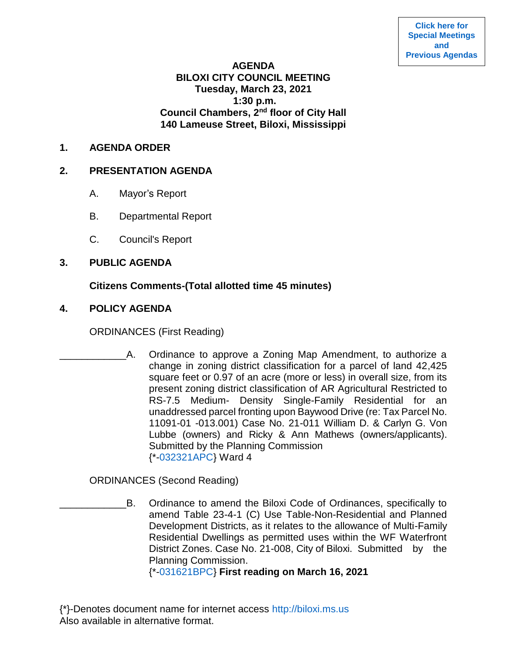**[Click here for](https://www.biloxi.ms.us/category/agendas-city-council/) [Special Meetings](https://www.biloxi.ms.us/category/agendas-city-council/) [and](https://www.biloxi.ms.us/category/agendas-city-council/) [Previous Agendas](https://www.biloxi.ms.us/category/agendas-city-council/)**

### **AGENDA BILOXI CITY COUNCIL MEETING Tuesday, March 23, 2021 1:30 p.m. Council Chambers, 2nd floor of City Hall 140 Lameuse Street, Biloxi, Mississippi**

### **1. AGENDA ORDER**

### **2. PRESENTATION AGENDA**

- A. Mayor's Report
- B. Departmental Report
- C. Council's Report

# **3. PUBLIC AGENDA**

# **Citizens Comments-(Total allotted time 45 minutes)**

# **4. POLICY AGENDA**

ORDINANCES (First Reading)

A. Ordinance to approve a Zoning Map Amendment, to authorize a change in zoning district classification for a parcel of land 42,425 square feet or 0.97 of an acre (more or less) in overall size, from its present zoning district classification of AR Agricultural Restricted to RS-7.5 Medium- Density Single-Family Residential for an unaddressed parcel fronting upon Baywood Drive (re: Tax Parcel No. 11091-01 -013.001) Case No. 21-011 William D. & Carlyn G. Von Lubbe (owners) and Ricky & Ann Mathews (owners/applicants). Submitted by the Planning Commission {\*[-032321APC}](https://www.biloxi.ms.us/agendas/citycouncil/2021/032321/032321apc.pdf) Ward 4

ORDINANCES (Second Reading)

B. Ordinance to amend the Biloxi Code of Ordinances, specifically to amend Table 23-4-1 (C) Use Table-Non-Residential and Planned Development Districts, as it relates to the allowance of Multi-Family Residential Dwellings as permitted uses within the WF Waterfront District Zones. Case No. 21-008, City of Biloxi. Submitted by the Planning Commission.

{\*[-031621BPC}](https://www.biloxi.ms.us/agendas/citycouncil/2021/032321/031621bpc.pdf) **First reading on March 16, 2021**

{\*}-Denotes document name for internet access [http://biloxi.ms.us](http://biloxi.ms.us/) Also available in alternative format.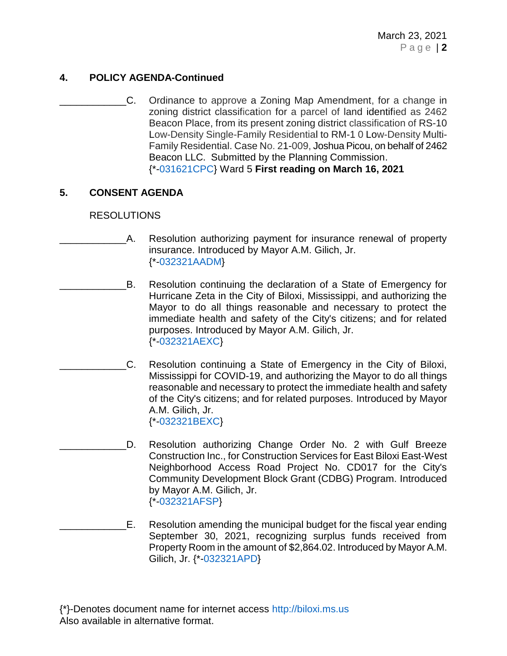# **4. POLICY AGENDA-Continued**

C. Ordinance to approve a Zoning Map Amendment, for a change in zoning district classification for a parcel of land identified as 2462 Beacon Place, from its present zoning district classification of RS-10 Low-Density Single-Family Residential to RM-1 0 Low-Density Multi-Family Residential. Case No. 21-009, Joshua Picou, on behalf of 2462 Beacon LLC. Submitted by the Planning Commission. {\*[-031621CPC}](https://www.biloxi.ms.us/agendas/citycouncil/2021/032321/031621cpc1.pdf) Ward 5 **First reading on March 16, 2021**

# **5. CONSENT AGENDA**

### RESOLUTIONS

- A. Resolution authorizing payment for insurance renewal of property insurance. Introduced by Mayor A.M. Gilich, Jr. {\*[-032321AADM}](https://www.biloxi.ms.us/agendas/citycouncil/2021/032321/032321aadm.pdf)
- B. Resolution continuing the declaration of a State of Emergency for Hurricane Zeta in the City of Biloxi, Mississippi, and authorizing the Mayor to do all things reasonable and necessary to protect the immediate health and safety of the City's citizens; and for related purposes. Introduced by Mayor A.M. Gilich, Jr. {\*[-032321AEXC}](https://www.biloxi.ms.us/agendas/citycouncil/2021/032321/032321aexc.pdf)
- \_\_\_\_\_\_\_\_\_\_\_\_C. Resolution continuing a State of Emergency in the City of Biloxi, Mississippi for COVID-19, and authorizing the Mayor to do all things reasonable and necessary to protect the immediate health and safety of the City's citizens; and for related purposes. Introduced by Mayor A.M. Gilich, Jr. {\*[-032321BEXC}](https://www.biloxi.ms.us/agendas/citycouncil/2021/032321/032321bexc.pdf)
	- D. Resolution authorizing Change Order No. 2 with Gulf Breeze Construction Inc., for Construction Services for East Biloxi East-West Neighborhood Access Road Project No. CD017 for the City's Community Development Block Grant (CDBG) Program. Introduced by Mayor A.M. Gilich, Jr. {\*[-032321AFSP}](https://www.biloxi.ms.us/agendas/citycouncil/2021/032321/032321afsp.pdf)
- \_\_\_\_\_\_\_\_\_\_\_\_E. Resolution amending the municipal budget for the fiscal year ending September 30, 2021, recognizing surplus funds received from Property Room in the amount of \$2,864.02. Introduced by Mayor A.M. Gilich, Jr. {\*[-032321APD}](https://www.biloxi.ms.us/agendas/citycouncil/2021/032321/032321apd.pdf)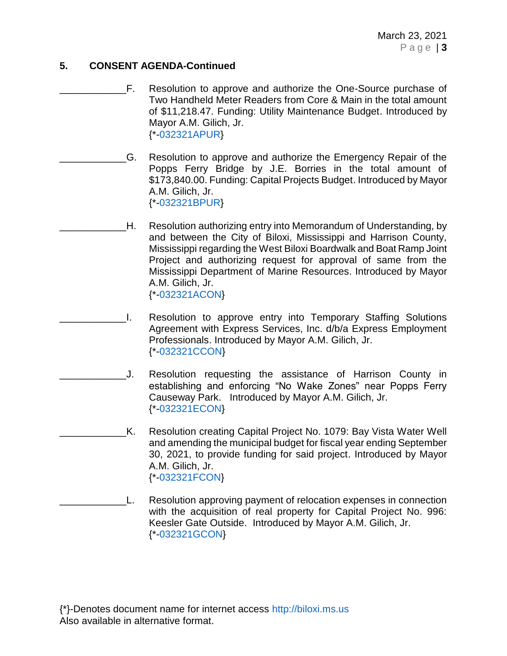## **5. CONSENT AGENDA-Continued**

- F. Resolution to approve and authorize the One-Source purchase of Two Handheld Meter Readers from Core & Main in the total amount of \$11,218.47. Funding: Utility Maintenance Budget. Introduced by Mayor A.M. Gilich, Jr. {\*[-032321APUR}](https://www.biloxi.ms.us/agendas/citycouncil/2021/032321/032321apur.pdf)
- \_\_\_\_\_\_\_\_\_\_\_\_G. Resolution to approve and authorize the Emergency Repair of the Popps Ferry Bridge by J.E. Borries in the total amount of \$173,840.00. Funding: Capital Projects Budget. Introduced by Mayor A.M. Gilich, Jr. {\*[-032321BPUR}](https://www.biloxi.ms.us/agendas/citycouncil/2021/032321/032321bpur.pdf)
- H. Resolution authorizing entry into Memorandum of Understanding, by and between the City of Biloxi, Mississippi and Harrison County, Mississippi regarding the West Biloxi Boardwalk and Boat Ramp Joint Project and authorizing request for approval of same from the Mississippi Department of Marine Resources. Introduced by Mayor A.M. Gilich, Jr. {\*[-032321ACON}](https://www.biloxi.ms.us/agendas/citycouncil/2021/032321/032321acon.pdf)
- \_\_\_\_\_\_\_\_\_\_\_\_I. Resolution to approve entry into Temporary Staffing Solutions Agreement with Express Services, Inc. d/b/a Express Employment Professionals. Introduced by Mayor A.M. Gilich, Jr. {\*[-032321CCON}](https://www.biloxi.ms.us/agendas/citycouncil/2021/032321/032321ccon.pdf)
- \_\_\_\_\_\_\_\_\_\_\_\_J. Resolution requesting the assistance of Harrison County in establishing and enforcing "No Wake Zones" near Popps Ferry Causeway Park. Introduced by Mayor A.M. Gilich, Jr. {\*[-032321ECON}](https://www.biloxi.ms.us/agendas/citycouncil/2021/032321/032321econ.pdf)
- K. Resolution creating Capital Project No. 1079: Bay Vista Water Well and amending the municipal budget for fiscal year ending September 30, 2021, to provide funding for said project. Introduced by Mayor A.M. Gilich, Jr. {\*[-032321FCON}](https://www.biloxi.ms.us/agendas/citycouncil/2021/032321/032321fcon.pdf)
- \_\_\_\_\_\_\_\_\_\_\_\_L. Resolution approving payment of relocation expenses in connection with the acquisition of real property for Capital Project No. 996: Keesler Gate Outside. Introduced by Mayor A.M. Gilich, Jr. {\*[-032321GCON}](https://www.biloxi.ms.us/agendas/citycouncil/2021/032321/032321gcon.pdf)